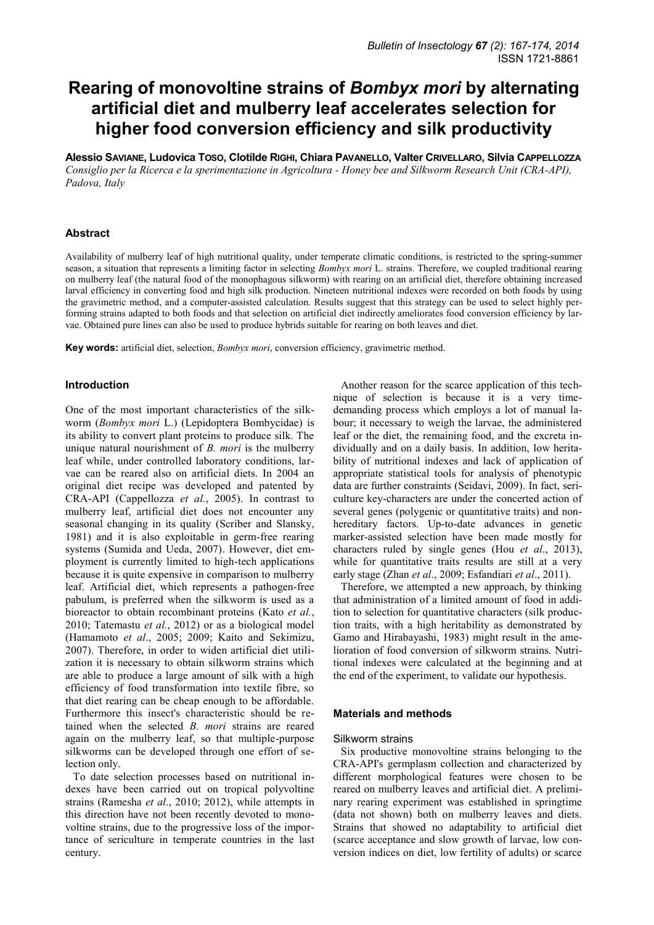# **Rearing of monovoltine strains of** *Bombyx mori* **by alternating artificial diet and mulberry leaf accelerates selection for higher food conversion efficiency and silk productivity**

**Alessio SAVIANE, Ludovica TOSO, Clotilde RIGHI, Chiara PAVANELLO, Valter CRIVELLARO, Silvia CAPPELLOZZA** *Consiglio per la Ricerca e la sperimentazione in Agricoltura - Honey bee and Silkworm Research Unit (CRA-API), Padova, Italy* 

# **Abstract**

Availability of mulberry leaf of high nutritional quality, under temperate climatic conditions, is restricted to the spring-summer season, a situation that represents a limiting factor in selecting *Bombyx mori* L. strains. Therefore, we coupled traditional rearing on mulberry leaf (the natural food of the monophagous silkworm) with rearing on an artificial diet, therefore obtaining increased larval efficiency in converting food and high silk production. Nineteen nutritional indexes were recorded on both foods by using the gravimetric method, and a computer-assisted calculation. Results suggest that this strategy can be used to select highly performing strains adapted to both foods and that selection on artificial diet indirectly ameliorates food conversion efficiency by larvae. Obtained pure lines can also be used to produce hybrids suitable for rearing on both leaves and diet.

**Key words:** artificial diet, selection, *Bombyx mori*, conversion efficiency, gravimetric method.

#### **Introduction**

One of the most important characteristics of the silkworm (*Bombyx mori* L.) (Lepidoptera Bombycidae) is its ability to convert plant proteins to produce silk. The unique natural nourishment of *B. mori* is the mulberry leaf while, under controlled laboratory conditions, larvae can be reared also on artificial diets. In 2004 an original diet recipe was developed and patented by CRA-API (Cappellozza *et al.*, 2005). In contrast to mulberry leaf, artificial diet does not encounter any seasonal changing in its quality (Scriber and Slansky, 1981) and it is also exploitable in germ-free rearing systems (Sumida and Ueda, 2007). However, diet employment is currently limited to high-tech applications because it is quite expensive in comparison to mulberry leaf. Artificial diet, which represents a pathogen-free pabulum, is preferred when the silkworm is used as a bioreactor to obtain recombinant proteins (Kato *et al.*, 2010; Tatemastu *et al.*, 2012) or as a biological model (Hamamoto *et al*., 2005; 2009; Kaito and Sekimizu, 2007). Therefore, in order to widen artificial diet utilization it is necessary to obtain silkworm strains which are able to produce a large amount of silk with a high efficiency of food transformation into textile fibre, so that diet rearing can be cheap enough to be affordable. Furthermore this insect's characteristic should be retained when the selected *B. mori* strains are reared again on the mulberry leaf, so that multiple-purpose silkworms can be developed through one effort of selection only.

To date selection processes based on nutritional indexes have been carried out on tropical polyvoltine strains (Ramesha *et al*., 2010; 2012), while attempts in this direction have not been recently devoted to monovoltine strains, due to the progressive loss of the importance of sericulture in temperate countries in the last century.

Another reason for the scarce application of this technique of selection is because it is a very timedemanding process which employs a lot of manual labour; it necessary to weigh the larvae, the administered leaf or the diet, the remaining food, and the excreta individually and on a daily basis. In addition, low heritability of nutritional indexes and lack of application of appropriate statistical tools for analysis of phenotypic data are further constraints (Seidavi, 2009). In fact, sericulture key-characters are under the concerted action of several genes (polygenic or quantitative traits) and nonhereditary factors. Up-to-date advances in genetic marker-assisted selection have been made mostly for characters ruled by single genes (Hou *et al*., 2013), while for quantitative traits results are still at a very early stage (Zhan *et al*., 2009; Esfandiari *et al*., 2011).

Therefore, we attempted a new approach, by thinking that administration of a limited amount of food in addition to selection for quantitative characters (silk production traits, with a high heritability as demonstrated by Gamo and Hirabayashi, 1983) might result in the amelioration of food conversion of silkworm strains. Nutritional indexes were calculated at the beginning and at the end of the experiment, to validate our hypothesis.

#### **Materials and methods**

#### Silkworm strains

Six productive monovoltine strains belonging to the CRA-API's germplasm collection and characterized by different morphological features were chosen to be reared on mulberry leaves and artificial diet. A preliminary rearing experiment was established in springtime (data not shown) both on mulberry leaves and diets. Strains that showed no adaptability to artificial diet (scarce acceptance and slow growth of larvae, low conversion indices on diet, low fertility of adults) or scarce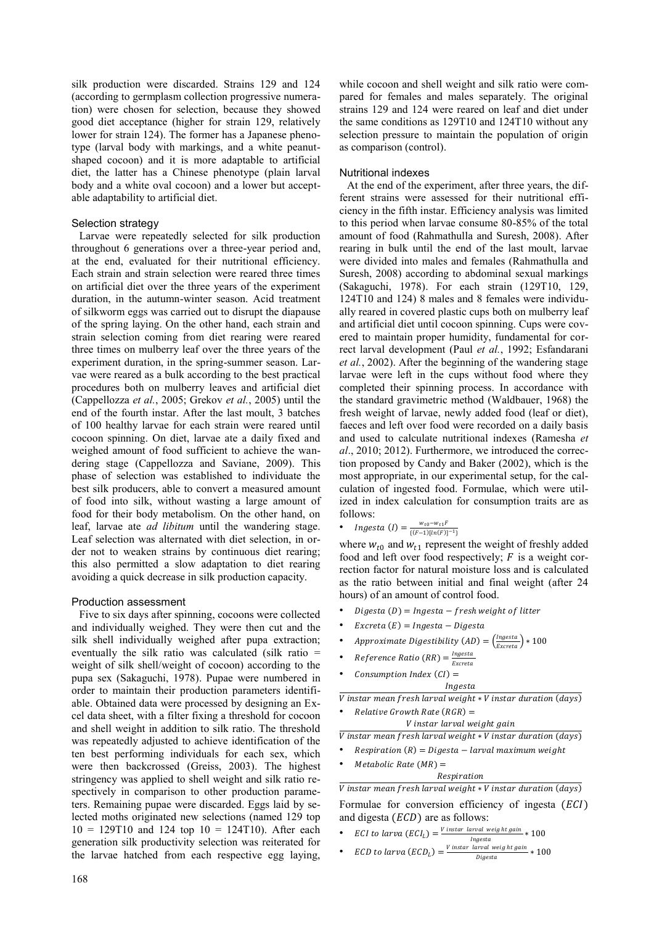silk production were discarded. Strains 129 and 124 (according to germplasm collection progressive numeration) were chosen for selection, because they showed good diet acceptance (higher for strain 129, relatively lower for strain 124). The former has a Japanese phenotype (larval body with markings, and a white peanutshaped cocoon) and it is more adaptable to artificial diet, the latter has a Chinese phenotype (plain larval body and a white oval cocoon) and a lower but acceptable adaptability to artificial diet.

# Selection strategy

Larvae were repeatedly selected for silk production throughout 6 generations over a three-year period and, at the end, evaluated for their nutritional efficiency. Each strain and strain selection were reared three times on artificial diet over the three years of the experiment duration, in the autumn-winter season. Acid treatment of silkworm eggs was carried out to disrupt the diapause of the spring laying. On the other hand, each strain and strain selection coming from diet rearing were reared three times on mulberry leaf over the three years of the experiment duration, in the spring-summer season. Larvae were reared as a bulk according to the best practical procedures both on mulberry leaves and artificial diet (Cappellozza *et al.*, 2005; Grekov *et al.*, 2005) until the end of the fourth instar. After the last moult, 3 batches of 100 healthy larvae for each strain were reared until cocoon spinning. On diet, larvae ate a daily fixed and weighed amount of food sufficient to achieve the wandering stage (Cappellozza and Saviane, 2009). This phase of selection was established to individuate the best silk producers, able to convert a measured amount of food into silk, without wasting a large amount of food for their body metabolism. On the other hand, on leaf, larvae ate *ad libitum* until the wandering stage. Leaf selection was alternated with diet selection, in order not to weaken strains by continuous diet rearing; this also permitted a slow adaptation to diet rearing avoiding a quick decrease in silk production capacity.

# Production assessment

Five to six days after spinning, cocoons were collected and individually weighed. They were then cut and the silk shell individually weighed after pupa extraction; eventually the silk ratio was calculated (silk ratio = weight of silk shell/weight of cocoon) according to the pupa sex (Sakaguchi, 1978). Pupae were numbered in order to maintain their production parameters identifiable. Obtained data were processed by designing an Excel data sheet, with a filter fixing a threshold for cocoon and shell weight in addition to silk ratio. The threshold was repeatedly adjusted to achieve identification of the ten best performing individuals for each sex, which were then backcrossed (Greiss, 2003). The highest stringency was applied to shell weight and silk ratio respectively in comparison to other production parameters. Remaining pupae were discarded. Eggs laid by selected moths originated new selections (named 129 top  $10 = 129T10$  and  $124$  top  $10 = 124T10$ ). After each generation silk productivity selection was reiterated for the larvae hatched from each respective egg laying,

while cocoon and shell weight and silk ratio were compared for females and males separately. The original strains 129 and 124 were reared on leaf and diet under the same conditions as 129T10 and 124T10 without any selection pressure to maintain the population of origin as comparison (control).

# Nutritional indexes

At the end of the experiment, after three years, the different strains were assessed for their nutritional efficiency in the fifth instar. Efficiency analysis was limited to this period when larvae consume 80-85% of the total amount of food (Rahmathulla and Suresh, 2008). After rearing in bulk until the end of the last moult, larvae were divided into males and females (Rahmathulla and Suresh, 2008) according to abdominal sexual markings (Sakaguchi, 1978). For each strain (129T10, 129, 124T10 and 124) 8 males and 8 females were individually reared in covered plastic cups both on mulberry leaf and artificial diet until cocoon spinning. Cups were covered to maintain proper humidity, fundamental for correct larval development (Paul *et al.*, 1992; Esfandarani *et al.*, 2002). After the beginning of the wandering stage larvae were left in the cups without food where they completed their spinning process. In accordance with the standard gravimetric method (Waldbauer, 1968) the fresh weight of larvae, newly added food (leaf or diet), faeces and left over food were recorded on a daily basis and used to calculate nutritional indexes (Ramesha *et al*., 2010; 2012). Furthermore, we introduced the correction proposed by Candy and Baker (2002), which is the most appropriate, in our experimental setup, for the calculation of ingested food. Formulae, which were utilized in index calculation for consumption traits are as follows:

• *Ingesta (I)* = 
$$
\frac{w_{t0} - w_{t1}F}{\{(F-1)[\ln(F)]^{-1}\}}
$$

where  $w_{t0}$  and  $w_{t1}$  represent the weight of freshly added food and left over food respectively;  $F$  is a weight correction factor for natural moisture loss and is calculated as the ratio between initial and final weight (after 24 hours) of an amount of control food.

- $Digesta(D) = Ingesta fresh weight of litter$
- $Exercise (E) = Ingesta Digesta$
- Approximate Digestibility (AD) =  $\left(\frac{Ingesta}{Excreta}\right) * 100$
- Reference Ratio  $(RR) = \frac{Ingesta}{F$ Excreta
- Consumption Index  $(Cl)$  = Ingesta

V instar mean fresh larval weight \* V instar duration (days)  $Relative Growth Rate (RGR) =$ 

V instar larval weight gain

 $V$  instar mean fresh larval weight  $*V$  instar duration (days)

- $Respiration(R) = Digesta larval maximum weight$
- $Metabolic Rate (MR) =$

Respiration V instar mean fresh larval weight \* V instar duration (days)

Formulae for conversion efficiency of ingesta  $(ECI)$ and digesta  $(ECD)$  are as follows:

• ECI to larva  $(ECI_L) = \frac{V \text{ instant} \text{ larval weight gain}}{I \text{ nearest}}$  $\frac{u_1u_1}{u_2u_2u_3}$  \* 100

• *ECD to larva* 
$$
(ECD_L) = \frac{V \text{ instar larval weight gain}}{Digesta} * 100
$$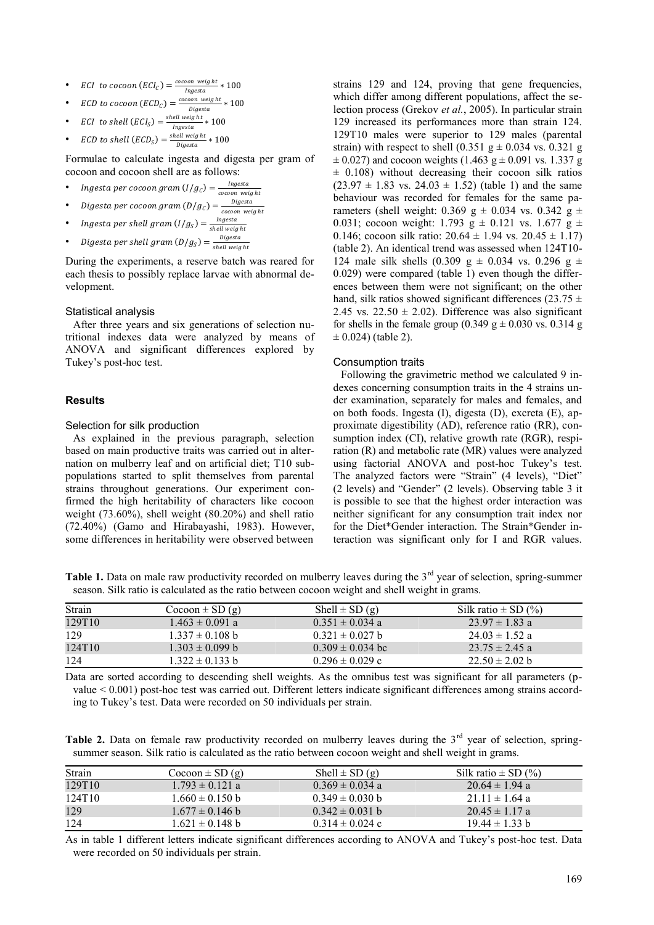• ECI to cocoon  $(ECI_C) = \frac{cocoon \text{ weight}}{\text{length}}$  $\frac{300h \text{ Weyn }t}{\text{Ingesta}} * 100$ 

• *ECD to cocoon (ECD<sub>C</sub>)* = 
$$
\frac{cocoon \text{ weight}}{Digesta} * 100
$$

\n- ECI to shell 
$$
(ECI_S) = \frac{shell\ weight}{Ingesta} * 100
$$
\n- ECD to shell  $(ECD_S) = \frac{shell\ weight}{Di\ cost}$  to 100
\n

Digesta Formulae to calculate ingesta and digesta per gram of

cocoon and cocoon shell are as follows:

- Ingesta per cocoon gram  $(I/g_c) = \frac{Ingesta}{cscon wa}$ cocoon weight
- Digesta per cocoon gram  $(D/g_c) = \frac{Digesta}{cscon$  we cocoon weight
- Ingesta per shell gram  $(I/g_S) = \frac{Ingesta}{shall, wali}$ shell weight
- Digesta per shell gram  $(D/g_S) = \frac{Digesta}{\text{shell weight}}$ shell weig ht

During the experiments, a reserve batch was reared for each thesis to possibly replace larvae with abnormal development.

#### Statistical analysis

After three years and six generations of selection nutritional indexes data were analyzed by means of ANOVA and significant differences explored by Tukey's post-hoc test.

#### **Results**

# Selection for silk production

As explained in the previous paragraph, selection based on main productive traits was carried out in alternation on mulberry leaf and on artificial diet; T10 subpopulations started to split themselves from parental strains throughout generations. Our experiment confirmed the high heritability of characters like cocoon weight (73.60%), shell weight (80.20%) and shell ratio (72.40%) (Gamo and Hirabayashi, 1983). However, some differences in heritability were observed between

strains 129 and 124, proving that gene frequencies, which differ among different populations, affect the selection process (Grekov *et al.*, 2005). In particular strain 129 increased its performances more than strain 124. 129T10 males were superior to 129 males (parental strain) with respect to shell  $(0.351 \text{ g} \pm 0.034 \text{ vs. } 0.321 \text{ g})$  $\pm$  0.027) and cocoon weights (1.463 g  $\pm$  0.091 vs. 1.337 g  $\pm$  0.108) without decreasing their cocoon silk ratios  $(23.97 \pm 1.83 \text{ vs. } 24.03 \pm 1.52)$  (table 1) and the same behaviour was recorded for females for the same parameters (shell weight: 0.369 g  $\pm$  0.034 vs. 0.342 g  $\pm$ 0.031; cocoon weight: 1.793 g  $\pm$  0.121 vs. 1.677 g  $\pm$ 0.146; cocoon silk ratio:  $20.64 \pm 1.94$  vs.  $20.45 \pm 1.17$ ) (table 2). An identical trend was assessed when 124T10- 124 male silk shells (0.309 g  $\pm$  0.034 vs. 0.296 g  $\pm$ 0.029) were compared (table 1) even though the differences between them were not significant; on the other hand, silk ratios showed significant differences (23.75  $\pm$ 2.45 vs.  $22.50 \pm 2.02$ ). Difference was also significant for shells in the female group (0.349 g  $\pm$  0.030 vs. 0.314 g  $\pm$  0.024) (table 2).

# Consumption traits

Following the gravimetric method we calculated 9 indexes concerning consumption traits in the 4 strains under examination, separately for males and females, and on both foods. Ingesta (I), digesta (D), excreta (E), approximate digestibility (AD), reference ratio (RR), consumption index (CI), relative growth rate (RGR), respiration (R) and metabolic rate (MR) values were analyzed using factorial ANOVA and post-hoc Tukey's test. The analyzed factors were "Strain" (4 levels), "Diet" (2 levels) and "Gender" (2 levels). Observing table 3 it is possible to see that the highest order interaction was neither significant for any consumption trait index nor for the Diet\*Gender interaction. The Strain\*Gender interaction was significant only for I and RGR values.

Table 1. Data on male raw productivity recorded on mulberry leaves during the 3<sup>rd</sup> year of selection, spring-summer season. Silk ratio is calculated as the ratio between cocoon weight and shell weight in grams.

| Strain | $C_{\text{0}}(q)$   | Shell $\pm$ SD (g)   | Silk ratio $\pm$ SD $(\% )$ |
|--------|---------------------|----------------------|-----------------------------|
| 129T10 | $1.463 \pm 0.091$ a | $0.351 \pm 0.034$ a  | $23.97 \pm 1.83$ a          |
| 129    | $1.337 \pm 0.108$ b | $0.321 \pm 0.027$ b  | $24.03 \pm 1.52$ a          |
| 124T10 | $1.303 \pm 0.099$ b | $0.309 \pm 0.034$ bc | $23.75 \pm 2.45$ a          |
| 124    | $1.322 \pm 0.133$ b | $0.296 \pm 0.029$ c  | $22.50 \pm 2.02$ b          |

Data are sorted according to descending shell weights. As the omnibus test was significant for all parameters (pvalue < 0.001) post-hoc test was carried out. Different letters indicate significant differences among strains according to Tukey's test. Data were recorded on 50 individuals per strain.

Table 2. Data on female raw productivity recorded on mulberry leaves during the 3<sup>rd</sup> year of selection, springsummer season. Silk ratio is calculated as the ratio between cocoon weight and shell weight in grams.

| Strain | $C_{\text{ocoon}} \pm SD(g)$ | Shell $\pm$ SD (g)  | Silk ratio $\pm$ SD $(\% )$ |
|--------|------------------------------|---------------------|-----------------------------|
| 129T10 | $1.793 \pm 0.121$ a          | $0.369 \pm 0.034$ a | $20.64 \pm 1.94$ a          |
| 124T10 | $1.660 \pm 0.150$ b          | $0.349 \pm 0.030$ b | $21.11 \pm 1.64$ a          |
| 129    | $1.677 \pm 0.146$ b          | $0.342 \pm 0.031$ b | $20.45 \pm 1.17$ a          |
| 124    | $1.621 \pm 0.148$ b          | $0.314 \pm 0.024$ c | $19.44 \pm 1.33$ b          |

As in table 1 different letters indicate significant differences according to ANOVA and Tukey's post-hoc test. Data were recorded on 50 individuals per strain.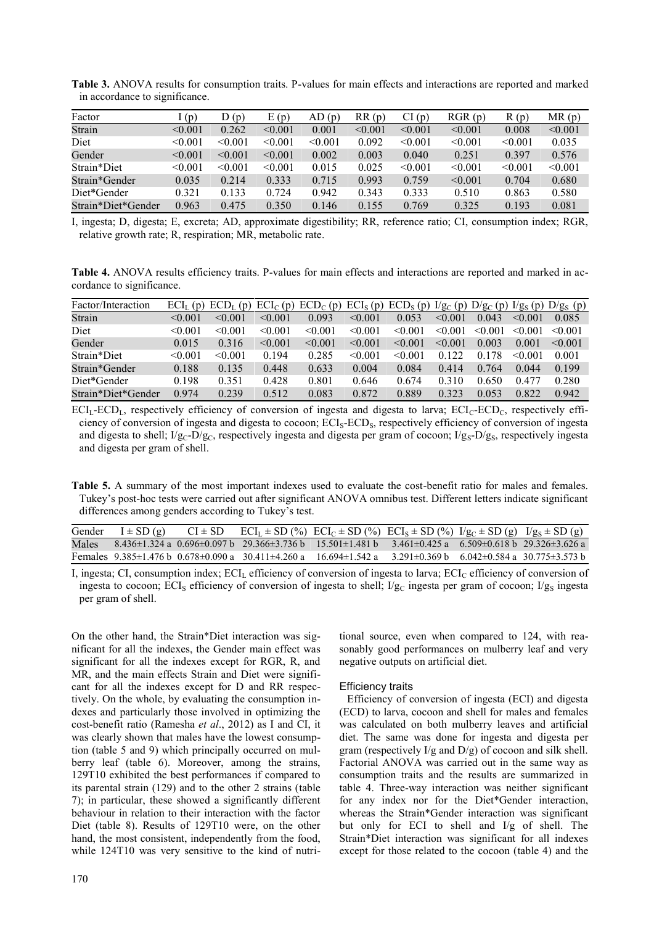|                    | ັ       |         |          |         |         |         |         |         |         |
|--------------------|---------|---------|----------|---------|---------|---------|---------|---------|---------|
| Factor             | (p)     | D(p)    | E<br>(p) | AD(p)   | RR(p)   | CI(p)   | RGR(p)  | R(p)    | MR(p)   |
| Strain             | < 0.001 | 0.262   | < 0.001  | 0.001   | < 0.001 | < 0.001 | < 0.001 | 0.008   | < 0.001 |
| Diet               | < 0.001 | < 0.001 | < 0.001  | < 0.001 | 0.092   | < 0.001 | < 0.001 | < 0.001 | 0.035   |
| Gender             | < 0.001 | < 0.001 | < 0.001  | 0.002   | 0.003   | 0.040   | 0.251   | 0.397   | 0.576   |
| Strain*Diet        | < 0.001 | < 0.001 | < 0.001  | 0.015   | 0.025   | < 0.001 | < 0.001 | < 0.001 | < 0.001 |
| Strain*Gender      | 0.035   | 0.214   | 0.333    | 0.715   | 0.993   | 0.759   | < 0.001 | 0.704   | 0.680   |
| Diet*Gender        | 0.321   | 0.133   | 0.724    | 0.942   | 0.343   | 0.333   | 0.510   | 0.863   | 0.580   |
| Strain*Diet*Gender | 0.963   | 0.475   | 0.350    | 0.146   | 0.155   | 0.769   | 0.325   | 0.193   | 0.081   |

**Table 3.** ANOVA results for consumption traits. P-values for main effects and interactions are reported and marked in accordance to significance.

I, ingesta; D, digesta; E, excreta; AD, approximate digestibility; RR, reference ratio; CI, consumption index; RGR, relative growth rate; R, respiration; MR, metabolic rate.

**Table 4.** ANOVA results efficiency traits. P-values for main effects and interactions are reported and marked in accordance to significance.

| Factor/Interaction | $ECIL$ (p) $ECDL$ | (p)          | $ECI_{C}$ (p) | $ECD_C(p) ECI_S(p) ECD_S(p) I/g_C(p) D/g_C(p) I/g_S(p) D/g_S(p)$ |         |              |                  |                 |              |              |
|--------------------|-------------------|--------------|---------------|------------------------------------------------------------------|---------|--------------|------------------|-----------------|--------------|--------------|
| Strain             | < 0.001           | $\leq 0.001$ | < 0.001       | 0.093                                                            | < 0.001 | 0.053        | $\leq 0.001$     | 0.043           | < 0.001      | 0.085        |
| Diet               | < 0.001           | $\leq 0.001$ | < 0.001       | $\leq 0.001$                                                     | < 0.001 | $\leq 0.001$ | -001<br>$\leq 0$ | < 0.001         | $\leq 0.001$ | $\leq 0.001$ |
| Gender             | 0.015             | 0.316        | < 0.001       | $\leq 0.001$                                                     | < 0.001 | < 0.001      | $\leq 0.001$     | 0.003           | 0.001        | $\leq 0.001$ |
| Strain*Diet        | < 0.001           | $\leq 0.001$ | 0.194         | 0.285                                                            | < 0.001 | < 0.001      | 0.122            | 178<br>$\Omega$ | < 0.001      | 0.001        |
| Strain*Gender      | 0.188             | 0.135        | 0.448         | 0.633                                                            | 0.004   | 0.084        | 0.414            | 0.764           | 0.044        | 0.199        |
| Diet*Gender        | 0.198             | 0.351        | 0.428         | 0.801                                                            | 0.646   | 0.674        | 0.310            | 0.650           | 0.477        | 0.280        |
| Strain*Diet*Gender | 0.974             | 0.239        | 0.512         | 0.083                                                            | 0.872   | 0.889        | 0 3 2 3          | 0.053           | 0.822        | 0.942        |

 $ECI<sub>L</sub>-ECD<sub>L</sub>$ , respectively efficiency of conversion of ingesta and digesta to larva;  $ECI<sub>C</sub>-ECD<sub>C</sub>$ , respectively efficiency of conversion of ingesta and digesta to cocoon; ECI<sub>S</sub>-ECD<sub>S</sub>, respectively efficiency of conversion of ingesta and digesta to shell;  $I/g_C-D/g_C$ , respectively ingesta and digesta per gram of cocoon;  $I/g_S-D/g_S$ , respectively ingesta and digesta per gram of shell.

**Table 5.** A summary of the most important indexes used to evaluate the cost-benefit ratio for males and females. Tukey's post-hoc tests were carried out after significant ANOVA omnibus test. Different letters indicate significant differences among genders according to Tukey's test.

| Gender | $I \pm SD(g)$ |  | $CI \pm SD$ $ECI_L \pm SD$ (%) $ECI_C \pm SD$ (%) $ECI_S \pm SD$ (%) $I/g_C \pm SD$ (g) $I/g_S \pm SD$ (g)                               |  |  |
|--------|---------------|--|------------------------------------------------------------------------------------------------------------------------------------------|--|--|
| Males  |               |  | $-8.436\pm1.324$ a $0.696\pm0.097$ b $29.366\pm3.736$ b $15.501\pm1.481$ b $3.461\pm0.425$ a $6.509\pm0.618$ b $29.326\pm3.626$ a        |  |  |
|        |               |  | Females $9.385\pm1.476$ b $0.678\pm0.090$ a $30.411\pm4.260$ a $16.694\pm1.542$ a $3.291\pm0.369$ b $6.042\pm0.584$ a $30.775\pm3.573$ b |  |  |

I, ingesta; CI, consumption index;  $ECI_L$  efficiency of conversion of ingesta to larva;  $ECI_C$  efficiency of conversion of ingesta to cocoon; ECI<sub>S</sub> efficiency of conversion of ingesta to shell;  $I/g<sub>C</sub>$  ingesta per gram of cocoon;  $I/g<sub>S</sub>$  ingesta per gram of shell.

On the other hand, the Strain\*Diet interaction was significant for all the indexes, the Gender main effect was significant for all the indexes except for RGR, R, and MR, and the main effects Strain and Diet were significant for all the indexes except for D and RR respectively. On the whole, by evaluating the consumption indexes and particularly those involved in optimizing the cost-benefit ratio (Ramesha *et al*., 2012) as I and CI, it was clearly shown that males have the lowest consumption (table 5 and 9) which principally occurred on mulberry leaf (table 6). Moreover, among the strains, 129T10 exhibited the best performances if compared to its parental strain (129) and to the other 2 strains (table 7); in particular, these showed a significantly different behaviour in relation to their interaction with the factor Diet (table 8). Results of 129T10 were, on the other hand, the most consistent, independently from the food, while 124T10 was very sensitive to the kind of nutritional source, even when compared to 124, with reasonably good performances on mulberry leaf and very negative outputs on artificial diet.

# Efficiency traits

Efficiency of conversion of ingesta (ECI) and digesta (ECD) to larva, cocoon and shell for males and females was calculated on both mulberry leaves and artificial diet. The same was done for ingesta and digesta per gram (respectively I/g and D/g) of cocoon and silk shell. Factorial ANOVA was carried out in the same way as consumption traits and the results are summarized in table 4. Three-way interaction was neither significant for any index nor for the Diet\*Gender interaction, whereas the Strain\*Gender interaction was significant but only for ECI to shell and I/g of shell. The Strain\*Diet interaction was significant for all indexes except for those related to the cocoon (table 4) and the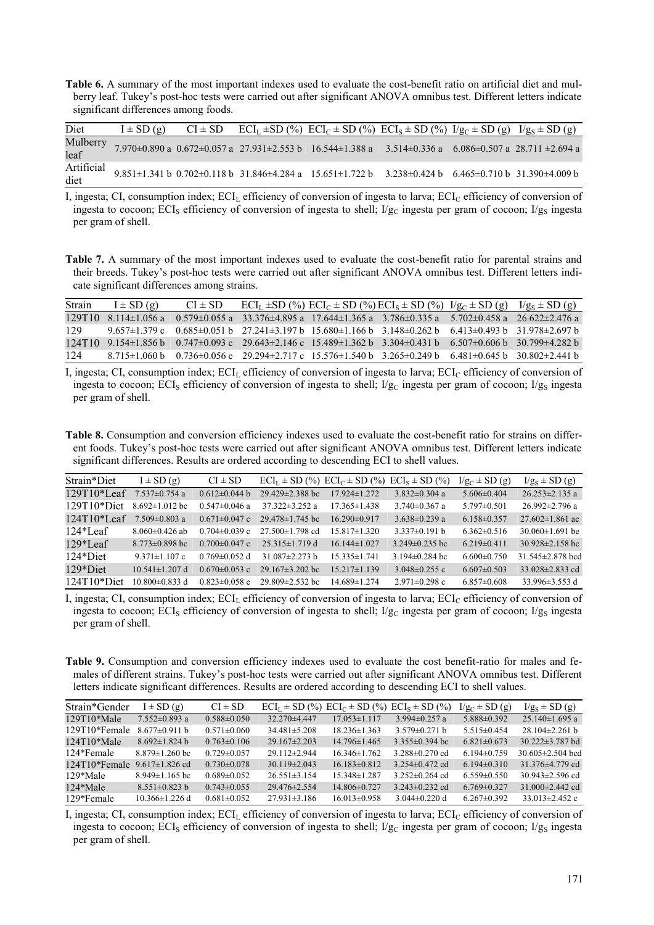**Table 6.** A summary of the most important indexes used to evaluate the cost-benefit ratio on artificial diet and mulberry leaf. Tukey's post-hoc tests were carried out after significant ANOVA omnibus test. Different letters indicate significant differences among foods.

| Diet               | $I \pm SD(g)$ |  | $CI \pm SD$ $ECI_L \pm SD$ (%) $ECI_C \pm SD$ (%) $ECI_S \pm SD$ (%) $I/g_C \pm SD$ (g) $I/g_S \pm SD$ (g)                                     |  |  |
|--------------------|---------------|--|------------------------------------------------------------------------------------------------------------------------------------------------|--|--|
| Mulberry<br>leaf   |               |  | 7.970±0.890 a $0.672\pm0.057$ a $27.931\pm2.553$ b $16.544\pm1.388$ a $3.514\pm0.336$ a $6.086\pm0.507$ a $28.711\pm2.694$ a                   |  |  |
| Artificial<br>diet |               |  | $9.851 \pm 1.341$ b $0.702 \pm 0.118$ b $31.846 \pm 4.284$ a $15.651 \pm 1.722$ b $3.238 \pm 0.424$ b $6.465 \pm 0.710$ b $31.390 \pm 4.009$ b |  |  |

I, ingesta; CI, consumption index;  $ECI_L$  efficiency of conversion of ingesta to larva;  $ECI_C$  efficiency of conversion of ingesta to cocoon; ECI<sub>S</sub> efficiency of conversion of ingesta to shell; I/g<sub>C</sub> ingesta per gram of cocoon; I/g<sub>S</sub> ingesta per gram of shell.

**Table 7.** A summary of the most important indexes used to evaluate the cost-benefit ratio for parental strains and their breeds. Tukey's post-hoc tests were carried out after significant ANOVA omnibus test. Different letters indicate significant differences among strains.

| Strain | $I \pm SD(g)$ | $CI \pm SD$ |  | $ECI_L \pm SD$ (%) $ECI_C \pm SD$ (%) $ECI_S \pm SD$ (%) $I/g_C \pm SD$ (g) $I/g_S \pm SD$ (g)                                                 |  |
|--------|---------------|-------------|--|------------------------------------------------------------------------------------------------------------------------------------------------|--|
|        |               |             |  | $129T10$ 8.114±1.056 a 0.579±0.055 a 33.376±4.895 a 17.644±1.365 a 3.786±0.335 a 5.702±0.458 a 26.622±2.476 a                                  |  |
| 129    |               |             |  | $9.657 \pm 1.379$ c $0.685 \pm 0.051$ b $27.241 \pm 3.197$ b $15.680 \pm 1.166$ b $3.148 \pm 0.262$ b $6.413 \pm 0.493$ b $31.978 \pm 2.697$ b |  |
|        |               |             |  | $124T10$ 9.154±1.856 b 0.747±0.093 c 29.643±2.146 c 15.489±1.362 b 3.304±0.431 b 6.507±0.606 b 30.799±4.282 b                                  |  |
| 124    |               |             |  | $8.715\pm1.060$ b $0.736\pm0.056$ c $29.294\pm2.717$ c $15.576\pm1.540$ b $3.265\pm0.249$ b $6.481\pm0.645$ b $30.802\pm2.441$ b               |  |

I, ingesta; CI, consumption index;  $ECI_L$  efficiency of conversion of ingesta to larva;  $ECI_C$  efficiency of conversion of ingesta to cocoon; ECI<sub>S</sub> efficiency of conversion of ingesta to shell;  $I/g<sub>C</sub>$  ingesta per gram of cocoon;  $I/g<sub>S</sub>$  ingesta per gram of shell.

**Table 8.** Consumption and conversion efficiency indexes used to evaluate the cost-benefit ratio for strains on different foods. Tukey's post-hoc tests were carried out after significant ANOVA omnibus test. Different letters indicate significant differences. Results are ordered according to descending ECI to shell values.

| Strain*Diet    | $I \pm SD(g)$        | $CI \pm SD$         |                       | $\text{ECI}_1 \pm \text{SD}$ (%) $\text{ECI}_C \pm \text{SD}$ (%) $\text{ECI}_S \pm \text{SD}$ (%) |                      | $I/g_C \pm SD(g)$ | $I/g_S \pm SD(g)$      |
|----------------|----------------------|---------------------|-----------------------|----------------------------------------------------------------------------------------------------|----------------------|-------------------|------------------------|
| $129T10*$ Leaf | $7.537 \pm 0.754$ a  | $0.612\pm0.044$ b   | $29.429 \pm 2.388$ bc | $17.924 \pm 1.272$                                                                                 | $3.832 \pm 0.304$ a  | $5.606 \pm 0.404$ | $26.253 \pm 2.135$ a   |
| $129T10*$ Diet | $8.692 \pm 1.012$ bc | $0.547 \pm 0.046$ a | $37.322 \pm 3.252$ a  | $17.365\pm1.438$                                                                                   | $3.740\pm0.367$ a    | $5.797\pm 0.501$  | $26.992 \pm 2.796$ a   |
| $124T10*$ Leaf | $7.509 \pm 0.803$ a  | $0.671 \pm 0.047$ c | $29.478 \pm 1.745$ bc | $16.290\pm0.917$                                                                                   | $3.638\pm0.239$ a    | $6.158\pm0.357$   | $27.602 \pm 1.861$ ae  |
| $124*$ Leaf    | $8.060\pm0.426$ ab   | $0.704 \pm 0.039$ c | $27.500 \pm 1.798$ cd | $15.817\pm1.320$                                                                                   | $3.337\pm0.191$ b    | $6.362\pm0.516$   | $30.060 \pm 1.691$ be  |
| $129*$ Leaf    | $8.773\pm0.898$ bc   | $0.700 \pm 0.047$ c | $25.315 \pm 1.719$ d  | $16.144\pm1.027$                                                                                   | $3.249\pm0.235$ bc   | $6.219\pm0.411$   | $30.928 \pm 2.158$ bc  |
| 124*Diet       | $9.371 \pm 1.107$ c  | $0.769 \pm 0.052$ d | 31.087 $\pm$ 2.273 b  | $15.335 \pm 1.741$                                                                                 | 3.194 $\pm$ 0.284 bc | $6.600 \pm 0.750$ | 31.545 $\pm$ 2.878 bcd |
| 129*Diet       | $10.541 \pm 1.207$ d | $0.670 \pm 0.053$ c | $29.167\pm3.202$ bc   | $15.217\pm1.139$                                                                                   | $3.048\pm0.255$ c    | $6.607\pm0.503$   | 33.028 $\pm$ 2.833 cd  |
| $124T10*$ Diet | $10.800 \pm 0.833$ d | $0.823 \pm 0.058$ e | $29.809 \pm 2.532$ bc | $14.689 \pm 1.274$                                                                                 | $2.971 \pm 0.298$ c  | $6.857\pm0.608$   | 33.996 $\pm$ 3.553 d   |

I, ingesta; CI, consumption index;  $ECI_L$  efficiency of conversion of ingesta to larva;  $ECI_C$  efficiency of conversion of ingesta to cocoon; ECI<sub>S</sub> efficiency of conversion of ingesta to shell;  $I/g<sub>C</sub>$  ingesta per gram of cocoon;  $I/g<sub>S</sub>$  ingesta per gram of shell.

**Table 9.** Consumption and conversion efficiency indexes used to evaluate the cost benefit-ratio for males and females of different strains. Tukey's post-hoc tests were carried out after significant ANOVA omnibus test. Different letters indicate significant differences. Results are ordered according to descending ECI to shell values.

| Strain*Gender                         | $I \pm SD(g)$        | $CI \pm SD$       |                    | $ECI_1 \pm SD$ (%) $ECI_C \pm SD$ (%) $ECI_8 \pm SD$ (%) |                     | $I/g_c \pm SD(g)$ | $I/g_s \pm SD(g)$      |
|---------------------------------------|----------------------|-------------------|--------------------|----------------------------------------------------------|---------------------|-------------------|------------------------|
| $129T10*$ Male                        | $7.552\pm0.893$ a    | $0.588\pm0.050$   | $32.270\pm4.447$   | $17.053\pm1.117$                                         | 3.994 $\pm$ 0.257 a | $5.888\pm0.392$   | $25.140 \pm 1.695$ a   |
| 129T10*Female                         | $8.677\pm0.911$ b    | $0.571 \pm 0.060$ | $34.481 \pm 5.208$ | $18.236 \pm 1.363$                                       | $3.579 \pm 0.271$ b | $5.515\pm0.454$   | $28.104\pm2.261$ b     |
| $124T10*$ Male                        | $8.692 \pm 1.824$ b  | $0.763 \pm 0.106$ | $29.167 \pm 2.203$ | $14.796\pm1.465$                                         | $3.355\pm0.394$ bc  | $6.821 \pm 0.673$ | $30.222 \pm 3.787$ bd  |
| 124*Female                            | $8.879 \pm 1.260$ bc | $0.729 \pm 0.057$ | $29112\pm 2.944$   | $16.346\pm1.762$                                         | $3.288\pm0.270$ ed. | $6.194\pm0.759$   | 30.605 $\pm$ 2.504 bcd |
| $124T10*$ Female 9.617 $\pm$ 1.826 cd |                      | $0.730\pm0.078$   | $30.119 \pm 2.043$ | $16.183\pm0.812$                                         | $3.254\pm0.472$ cd  | $6.194\pm0.310$   | 31.376 $\pm$ 4.779 cd  |
| 129*Male                              | $8.949 \pm 1.165$ bc | $0.689\pm0.052$   | $26.551\pm3.154$   | $15.348 \pm 1.287$                                       | $3.252\pm0.264$ cd  | $6.559\pm0.550$   | $30.943 \pm 2.596$ cd  |
| 124*Male                              | $8.551 \pm 0.823$ b  | $0.743 \pm 0.055$ | $29.476 \pm 2.554$ | 14 806 $\pm$ 0 727                                       | $3.243\pm0.232$ cd  | $6769\pm0.327$    | 31.000 $\pm$ 2.442 cd  |
| 129*Female                            | $10.366 \pm 1.226$ d | $0.681 \pm 0.052$ | $27.931\pm3.186$   | $16.013\pm0.958$                                         | $3.044\pm0.220$ d   | $6.267\pm0.392$   | 33.013 $\pm$ 2.452 c   |

I, ingesta; CI, consumption index;  $ECI<sub>I</sub>$  efficiency of conversion of ingesta to larva;  $ECI<sub>C</sub>$  efficiency of conversion of ingesta to cocoon; ECI<sub>S</sub> efficiency of conversion of ingesta to shell;  $I/g<sub>C</sub>$  ingesta per gram of cocoon;  $I/g<sub>S</sub>$  ingesta per gram of shell.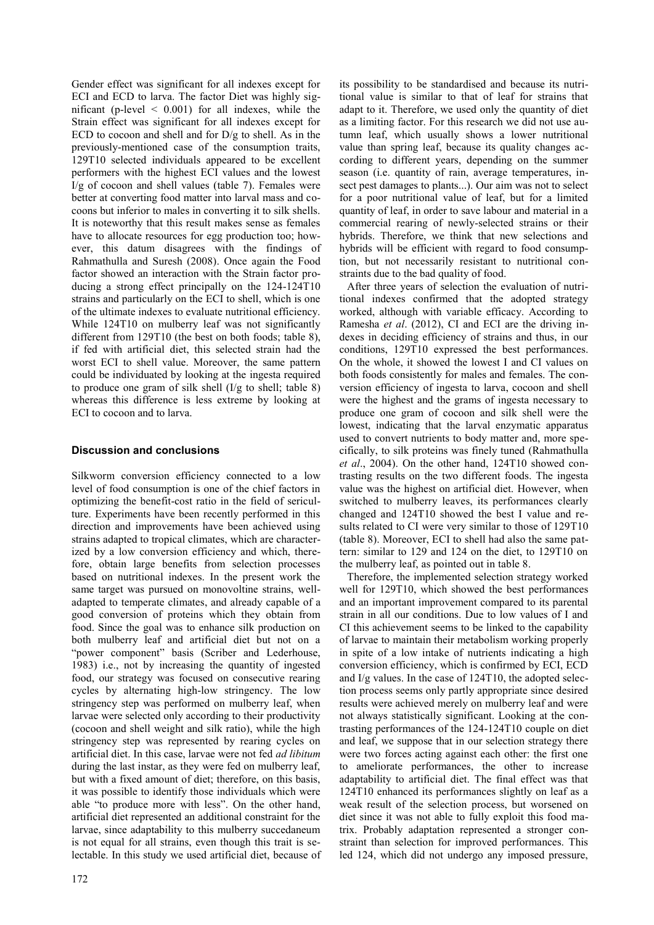Gender effect was significant for all indexes except for ECI and ECD to larva. The factor Diet was highly significant (p-level  $\leq$  0.001) for all indexes, while the Strain effect was significant for all indexes except for ECD to cocoon and shell and for  $D/g$  to shell. As in the previously-mentioned case of the consumption traits, 129T10 selected individuals appeared to be excellent performers with the highest ECI values and the lowest I/g of cocoon and shell values (table 7). Females were better at converting food matter into larval mass and cocoons but inferior to males in converting it to silk shells. It is noteworthy that this result makes sense as females have to allocate resources for egg production too; however, this datum disagrees with the findings of Rahmathulla and Suresh (2008). Once again the Food factor showed an interaction with the Strain factor producing a strong effect principally on the 124-124T10 strains and particularly on the ECI to shell, which is one of the ultimate indexes to evaluate nutritional efficiency. While 124T10 on mulberry leaf was not significantly different from 129T10 (the best on both foods; table 8), if fed with artificial diet, this selected strain had the worst ECI to shell value. Moreover, the same pattern could be individuated by looking at the ingesta required to produce one gram of silk shell (I/g to shell; table 8) whereas this difference is less extreme by looking at ECI to cocoon and to larva.

# **Discussion and conclusions**

Silkworm conversion efficiency connected to a low level of food consumption is one of the chief factors in optimizing the benefit-cost ratio in the field of sericulture. Experiments have been recently performed in this direction and improvements have been achieved using strains adapted to tropical climates, which are characterized by a low conversion efficiency and which, therefore, obtain large benefits from selection processes based on nutritional indexes. In the present work the same target was pursued on monovoltine strains, welladapted to temperate climates, and already capable of a good conversion of proteins which they obtain from food. Since the goal was to enhance silk production on both mulberry leaf and artificial diet but not on a "power component" basis (Scriber and Lederhouse, 1983) i.e., not by increasing the quantity of ingested food, our strategy was focused on consecutive rearing cycles by alternating high-low stringency. The low stringency step was performed on mulberry leaf, when larvae were selected only according to their productivity (cocoon and shell weight and silk ratio), while the high stringency step was represented by rearing cycles on artificial diet. In this case, larvae were not fed *ad libitum* during the last instar, as they were fed on mulberry leaf, but with a fixed amount of diet; therefore, on this basis, it was possible to identify those individuals which were able "to produce more with less". On the other hand, artificial diet represented an additional constraint for the larvae, since adaptability to this mulberry succedaneum is not equal for all strains, even though this trait is selectable. In this study we used artificial diet, because of

its possibility to be standardised and because its nutritional value is similar to that of leaf for strains that adapt to it. Therefore, we used only the quantity of diet as a limiting factor. For this research we did not use autumn leaf, which usually shows a lower nutritional value than spring leaf, because its quality changes according to different years, depending on the summer season (i.e. quantity of rain, average temperatures, insect pest damages to plants...). Our aim was not to select for a poor nutritional value of leaf, but for a limited quantity of leaf, in order to save labour and material in a commercial rearing of newly-selected strains or their hybrids. Therefore, we think that new selections and hybrids will be efficient with regard to food consumption, but not necessarily resistant to nutritional constraints due to the bad quality of food.

After three years of selection the evaluation of nutritional indexes confirmed that the adopted strategy worked, although with variable efficacy. According to Ramesha *et al*. (2012), CI and ECI are the driving indexes in deciding efficiency of strains and thus, in our conditions, 129T10 expressed the best performances. On the whole, it showed the lowest I and CI values on both foods consistently for males and females. The conversion efficiency of ingesta to larva, cocoon and shell were the highest and the grams of ingesta necessary to produce one gram of cocoon and silk shell were the lowest, indicating that the larval enzymatic apparatus used to convert nutrients to body matter and, more specifically, to silk proteins was finely tuned (Rahmathulla *et al*., 2004). On the other hand, 124T10 showed contrasting results on the two different foods. The ingesta value was the highest on artificial diet. However, when switched to mulberry leaves, its performances clearly changed and 124T10 showed the best I value and results related to CI were very similar to those of 129T10 (table 8). Moreover, ECI to shell had also the same pattern: similar to 129 and 124 on the diet, to 129T10 on the mulberry leaf, as pointed out in table 8.

Therefore, the implemented selection strategy worked well for 129T10, which showed the best performances and an important improvement compared to its parental strain in all our conditions. Due to low values of I and CI this achievement seems to be linked to the capability of larvae to maintain their metabolism working properly in spite of a low intake of nutrients indicating a high conversion efficiency, which is confirmed by ECI, ECD and I/g values. In the case of 124T10, the adopted selection process seems only partly appropriate since desired results were achieved merely on mulberry leaf and were not always statistically significant. Looking at the contrasting performances of the 124-124T10 couple on diet and leaf, we suppose that in our selection strategy there were two forces acting against each other: the first one to ameliorate performances, the other to increase adaptability to artificial diet. The final effect was that 124T10 enhanced its performances slightly on leaf as a weak result of the selection process, but worsened on diet since it was not able to fully exploit this food matrix. Probably adaptation represented a stronger constraint than selection for improved performances. This led 124, which did not undergo any imposed pressure,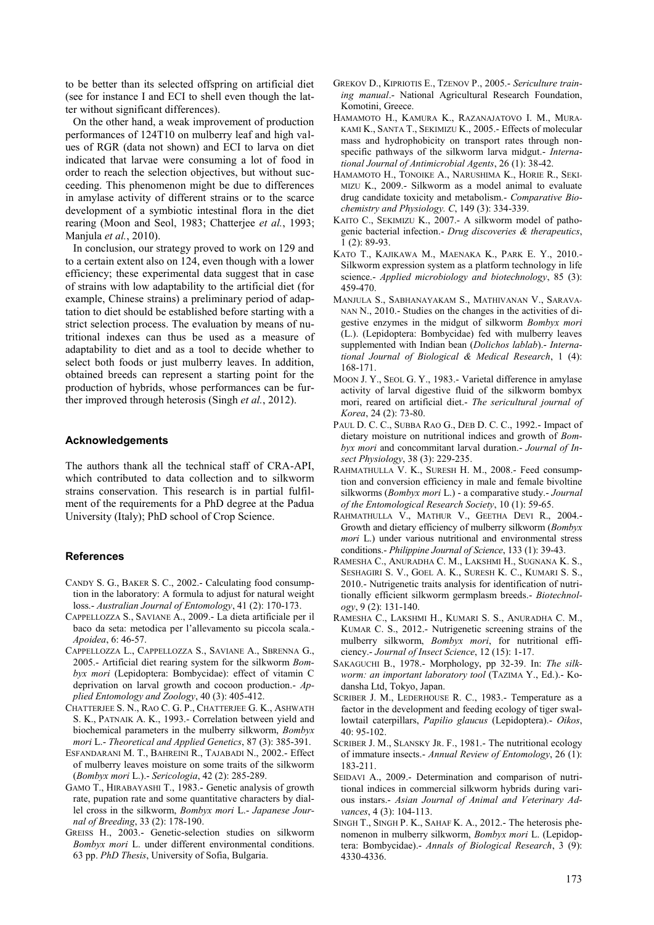to be better than its selected offspring on artificial diet (see for instance I and ECI to shell even though the latter without significant differences).

On the other hand, a weak improvement of production performances of 124T10 on mulberry leaf and high values of RGR (data not shown) and ECI to larva on diet indicated that larvae were consuming a lot of food in order to reach the selection objectives, but without succeeding. This phenomenon might be due to differences in amylase activity of different strains or to the scarce development of a symbiotic intestinal flora in the diet rearing (Moon and Seol, 1983; Chatterjee *et al.*, 1993; Manjula *et al.*, 2010).

In conclusion, our strategy proved to work on 129 and to a certain extent also on 124, even though with a lower efficiency; these experimental data suggest that in case of strains with low adaptability to the artificial diet (for example, Chinese strains) a preliminary period of adaptation to diet should be established before starting with a strict selection process. The evaluation by means of nutritional indexes can thus be used as a measure of adaptability to diet and as a tool to decide whether to select both foods or just mulberry leaves. In addition, obtained breeds can represent a starting point for the production of hybrids, whose performances can be further improved through heterosis (Singh *et al.*, 2012).

#### **Acknowledgements**

The authors thank all the technical staff of CRA-API, which contributed to data collection and to silkworm strains conservation. This research is in partial fulfilment of the requirements for a PhD degree at the Padua University (Italy); PhD school of Crop Science.

#### **References**

- CANDY S. G., BAKER S. C., 2002.- Calculating food consumption in the laboratory: A formula to adjust for natural weight loss.- *Australian Journal of Entomology*, 41 (2): 170-173.
- CAPPELLOZZA S., SAVIANE A., 2009.- La dieta artificiale per il baco da seta: metodica per l'allevamento su piccola scala.- *Apoidea*, 6: 46-57.
- CAPPELLOZZA L., CAPPELLOZZA S., SAVIANE A., SBRENNA G., 2005.- Artificial diet rearing system for the silkworm *Bombyx mori* (Lepidoptera: Bombycidae): effect of vitamin C deprivation on larval growth and cocoon production.- *Applied Entomology and Zoology*, 40 (3): 405-412.
- CHATTERJEE S. N., RAO C. G. P., CHATTERJEE G. K., ASHWATH S. K., PATNAIK A. K., 1993.- Correlation between yield and biochemical parameters in the mulberry silkworm, *Bombyx mori* L.- *Theoretical and Applied Genetics*, 87 (3): 385-391.
- ESFANDARANI M. T., BAHREINI R., TAJABADI N., 2002.- Effect of mulberry leaves moisture on some traits of the silkworm (*Bombyx mori* L.).- *Sericologia*, 42 (2): 285-289.
- GAMO T., HIRABAYASHI T., 1983.- Genetic analysis of growth rate, pupation rate and some quantitative characters by diallel cross in the silkworm, *Bombyx mori* L.- *Japanese Journal of Breeding*, 33 (2): 178-190.
- GREISS H., 2003.- Genetic-selection studies on silkworm *Bombyx mori* L. under different environmental conditions. 63 pp. *PhD Thesis*, University of Sofia, Bulgaria.
- GREKOV D., KIPRIOTIS E., TZENOV P., 2005.- *Sericulture training manual*.- National Agricultural Research Foundation, Komotini, Greece.
- HAMAMOTO H., KAMURA K., RAZANAJATOVO I. M., MURA-KAMI K., SANTA T., SEKIMIZU K., 2005.- Effects of molecular mass and hydrophobicity on transport rates through nonspecific pathways of the silkworm larva midgut.- *International Journal of Antimicrobial Agents*, 26 (1): 38-42.
- HAMAMOTO H., TONOIKE A., NARUSHIMA K., HORIE R., SEKI-MIZU K., 2009.- Silkworm as a model animal to evaluate drug candidate toxicity and metabolism.- *Comparative Biochemistry and Physiology. C*, 149 (3): 334-339.
- KAITO C., SEKIMIZU K., 2007.- A silkworm model of pathogenic bacterial infection.- *Drug discoveries & therapeutics*, 1 (2): 89-93.
- KATO T., KAJIKAWA M., MAENAKA K., PARK E. Y., 2010.- Silkworm expression system as a platform technology in life science.- *Applied microbiology and biotechnology*, 85 (3): 459-470.
- MANJULA S., SABHANAYAKAM S., MATHIVANAN V., SARAVA-NAN N., 2010.- Studies on the changes in the activities of digestive enzymes in the midgut of silkworm *Bombyx mori* (L.). (Lepidoptera: Bombycidae) fed with mulberry leaves supplemented with Indian bean (*Dolichos lablab*).- *International Journal of Biological & Medical Research*, 1 (4): 168-171.
- MOON J. Y., SEOL G. Y., 1983.- Varietal difference in amylase activity of larval digestive fluid of the silkworm bombyx mori, reared on artificial diet.- *The sericultural journal of Korea*, 24 (2): 73-80.
- PAUL D. C. C., SUBBA RAO G., DEB D. C. C., 1992.- Impact of dietary moisture on nutritional indices and growth of *Bombyx mori* and concommitant larval duration.- *Journal of Insect Physiology*, 38 (3): 229-235.
- RAHMATHULLA V. K., SURESH H. M., 2008.- Feed consumption and conversion efficiency in male and female bivoltine silkworms (*Bombyx mori* L.) - a comparative study.- *Journal of the Entomological Research Society*, 10 (1): 59-65.
- RAHMATHULLA V., MATHUR V., GEETHA DEVI R., 2004.- Growth and dietary efficiency of mulberry silkworm (*Bombyx mori* L.) under various nutritional and environmental stress conditions.- *Philippine Journal of Science*, 133 (1): 39-43.
- RAMESHA C., ANURADHA C. M., LAKSHMI H., SUGNANA K. S., SESHAGIRI S. V., GOEL A. K., SURESH K. C., KUMARI S. S., 2010.- Nutrigenetic traits analysis for identification of nutritionally efficient silkworm germplasm breeds.- *Biotechnology*, 9 (2): 131-140.
- RAMESHA C., LAKSHMI H., KUMARI S. S., ANURADHA C. M., KUMAR C. S., 2012.- Nutrigenetic screening strains of the mulberry silkworm, *Bombyx mori*, for nutritional efficiency.- *Journal of Insect Science*, 12 (15): 1-17.
- SAKAGUCHI B., 1978.- Morphology, pp 32-39. In: *The silkworm: an important laboratory tool* (TAZIMA Y., Ed.).- Kodansha Ltd, Tokyo, Japan.
- SCRIBER J. M., LEDERHOUSE R. C., 1983.- Temperature as a factor in the development and feeding ecology of tiger swallowtail caterpillars, *Papilio glaucus* (Lepidoptera).- *Oikos*,  $40.95 - 102$
- SCRIBER J. M., SLANSKY JR. F., 1981.- The nutritional ecology of immature insects.- *Annual Review of Entomology*, 26 (1): 183-211.
- SEIDAVI A., 2009.- Determination and comparison of nutritional indices in commercial silkworm hybrids during various instars.- *Asian Journal of Animal and Veterinary Advances*, 4 (3): 104-113.
- SINGH T., SINGH P. K., SAHAF K. A., 2012.- The heterosis phenomenon in mulberry silkworm, *Bombyx mori* L. (Lepidoptera: Bombycidae).- *Annals of Biological Research*, 3 (9): 4330-4336.